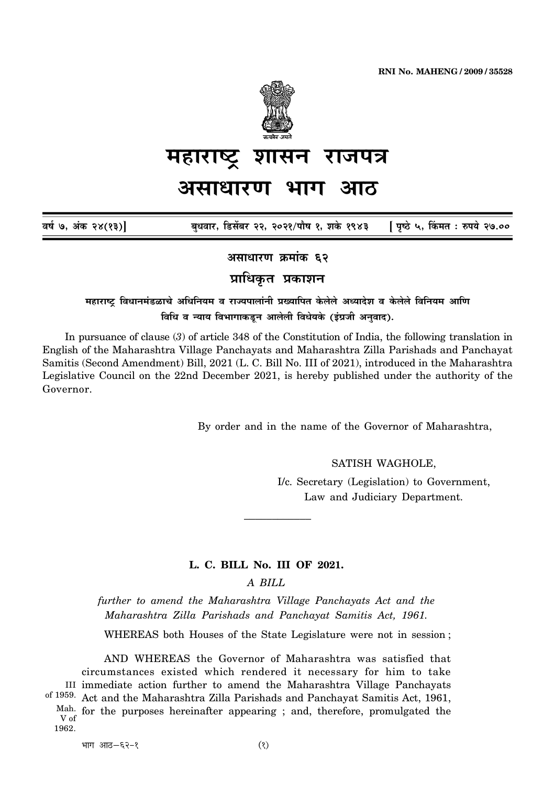

# महाराष्ट्र शासन राजपत्र असाधारण भाग आठ

| वर्ष ७, अंक २४(१३)] |  |                                                                              |
|---------------------|--|------------------------------------------------------------------------------|
|                     |  | बुधवार, डिसेंबर २२, २०२१/पौष १, शके १९४३     [ पृष्ठे ५, किंमत : रुपये २७.०० |

असाधारण क्रमांक ६२

प्राधिकृत प्रकाशन

महाराष्ट्र विधानमंडळाचे अधिनियम व राज्यपालांनी प्रख्यापित केलेले अध्यादेश व केलेले विनियम आणि विधि व न्याय विभागाकडून आलेली विधेयके (इंग्रजी अनवाद).

In pursuance of clause  $(3)$  of article 348 of the Constitution of India, the following translation in English of the Maharashtra Village Panchayats and Maharashtra Zilla Parishads and Panchayat Samitis (Second Amendment) Bill, 2021 (L. C. Bill No. III of 2021), introduced in the Maharashtra Legislative Council on the 22nd December 2021, is hereby published under the authority of the Governor.

By order and in the name of the Governor of Maharashtra,

SATISH WAGHOLE,

I/c. Secretary (Legislation) to Government, Law and Judiciary Department.

### L. C. BILL No. III OF 2021.

A BILL

further to amend the Maharashtra Village Panchayats Act and the Maharashtra Zilla Parishads and Panchayat Samitis Act, 1961.

WHEREAS both Houses of the State Legislature were not in session;

AND WHEREAS the Governor of Maharashtra was satisfied that circumstances existed which rendered it necessary for him to take III immediate action further to amend the Maharashtra Village Panchayats of 1959. Act and the Maharashtra Zilla Parishads and Panchayat Samitis Act, 1961, Mah. for the purposes hereinafter appearing; and, therefore, promulgated the V of 1962.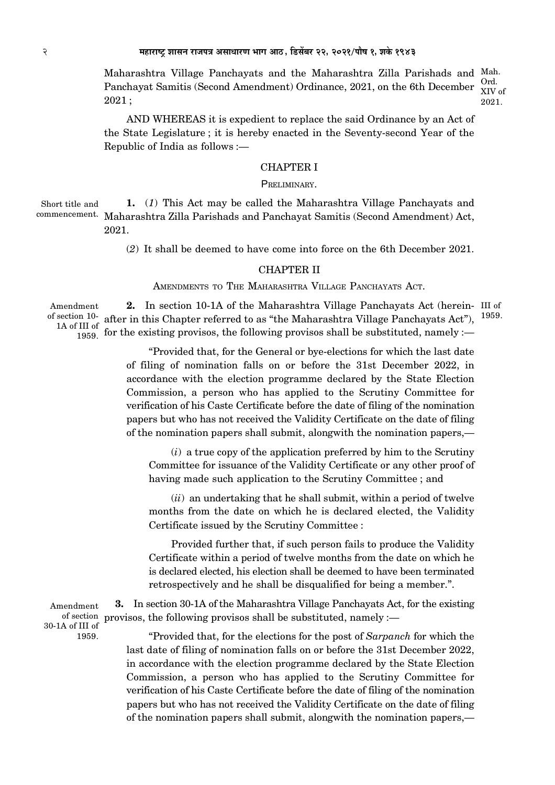Maharashtra Village Panchayats and the Maharashtra Zilla Parishads and Mah.  $Ord$ Panchayat Samitis (Second Amendment) Ordinance, 2021, on the 6th December XIV of  $2021;$ 2021.

AND WHEREAS it is expedient to replace the said Ordinance by an Act of the State Legislature; it is hereby enacted in the Seventy-second Year of the Republic of India as follows :—

# **CHAPTER I**

### PRELIMINARY.

1. (1) This Act may be called the Maharashtra Village Panchayats and Short title and commencement. Maharashtra Zilla Parishads and Panchayat Samitis (Second Amendment) Act, 2021.

(2) It shall be deemed to have come into force on the 6th December 2021.

### **CHAPTER II**

AMENDMENTS TO THE MAHARASHTRA VILLAGE PANCHAYATS ACT.

In section 10-1A of the Maharashtra Village Panchavats Act (herein- III of Amendment  $2.$ of section  $10$ - after in this Chapter referred to as "the Maharashtra Village Panchayats Act"), 1959. 1A of III of  $\frac{1}{1959}$  for the existing provisos, the following provisos shall be substituted, namely :-

> "Provided that, for the General or bye-elections for which the last date of filing of nomination falls on or before the 31st December 2022, in accordance with the election programme declared by the State Election Commission, a person who has applied to the Scrutiny Committee for verification of his Caste Certificate before the date of filing of the nomination papers but who has not received the Validity Certificate on the date of filing of the nomination papers shall submit, alongwith the nomination papers,—

 $(i)$  a true copy of the application preferred by him to the Scrutiny Committee for issuance of the Validity Certificate or any other proof of having made such application to the Scrutiny Committee; and

(*ii*) an undertaking that he shall submit, within a period of twelve months from the date on which he is declared elected, the Validity Certificate issued by the Scrutiny Committee :

Provided further that, if such person fails to produce the Validity Certificate within a period of twelve months from the date on which he is declared elected, his election shall be deemed to have been terminated retrospectively and he shall be disqualified for being a member.".

**3.** In section 30-1A of the Maharashtra Village Panchayats Act, for the existing Amendment of section provisos, the following provisos shall be substituted, namely :-

30-1A of III of 1959.

"Provided that, for the elections for the post of Sarpanch for which the last date of filing of nomination falls on or before the 31st December 2022, in accordance with the election programme declared by the State Election Commission, a person who has applied to the Scrutiny Committee for verification of his Caste Certificate before the date of filing of the nomination papers but who has not received the Validity Certificate on the date of filing of the nomination papers shall submit, alongwith the nomination papers,—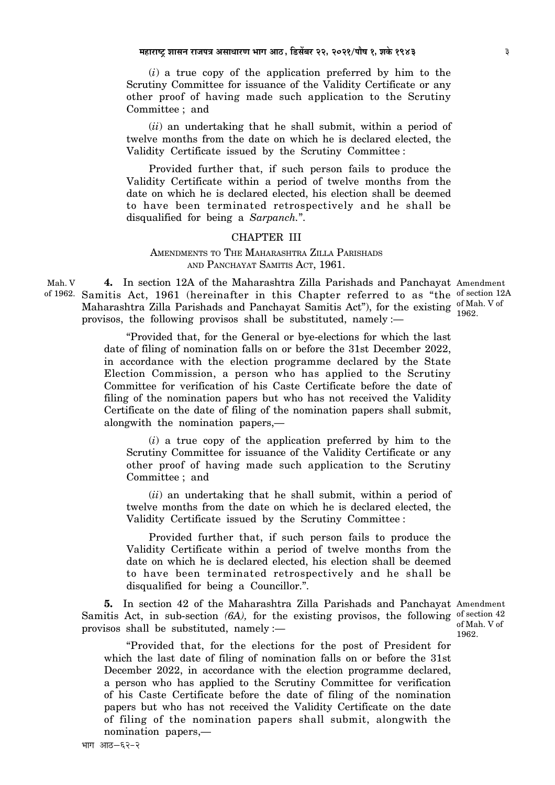$(i)$  a true copy of the application preferred by him to the Scrutiny Committee for issuance of the Validity Certificate or any other proof of having made such application to the Scrutiny Committee ; and

(*ii*) an undertaking that he shall submit, within a period of twelve months from the date on which he is declared elected, the Validity Certificate issued by the Scrutiny Committee:

Provided further that, if such person fails to produce the Validity Certificate within a period of twelve months from the date on which he is declared elected, his election shall be deemed to have been terminated retrospectively and he shall be disqualified for being a Sarpanch.".

#### **CHAPTER III**

# AMENDMENTS TO THE MAHARASHTRA ZILLA PARISHADS AND PANCHAYAT SAMITIS ACT. 1961.

Mah. V 4. In section 12A of the Maharashtra Zilla Parishads and Panchayat Amendment of 1962. Samitis Act, 1961 (hereinafter in this Chapter referred to as "the of section 12A Maharashtra Zilla Parishads and Panchayat Samitis Act"), for the existing <sup>of Mah. V</sup> of provisos, the following provisos shall be substituted, namely  $:$ 

> "Provided that, for the General or bye-elections for which the last date of filing of nomination falls on or before the 31st December 2022, in accordance with the election programme declared by the State Election Commission, a person who has applied to the Scrutiny Committee for verification of his Caste Certificate before the date of filing of the nomination papers but who has not received the Validity Certificate on the date of filing of the nomination papers shall submit, alongwith the nomination papers,—

 $(i)$  a true copy of the application preferred by him to the Scrutiny Committee for issuance of the Validity Certificate or any other proof of having made such application to the Scrutiny Committee; and

(ii) an undertaking that he shall submit, within a period of twelve months from the date on which he is declared elected, the Validity Certificate issued by the Scrutiny Committee:

Provided further that, if such person fails to produce the Validity Certificate within a period of twelve months from the date on which he is declared elected, his election shall be deemed to have been terminated retrospectively and he shall be disqualified for being a Councillor.".

5. In section 42 of the Maharashtra Zilla Parishads and Panchayat Amendment Samitis Act, in sub-section  $(6A)$ , for the existing provisos, the following of section 42 provisos shall be substituted, namely :-

"Provided that, for the elections for the post of President for which the last date of filing of nomination falls on or before the 31st December 2022, in accordance with the election programme declared, a person who has applied to the Scrutiny Committee for verification of his Caste Certificate before the date of filing of the nomination papers but who has not received the Validity Certificate on the date of filing of the nomination papers shall submit, alongwith the nomination papers,-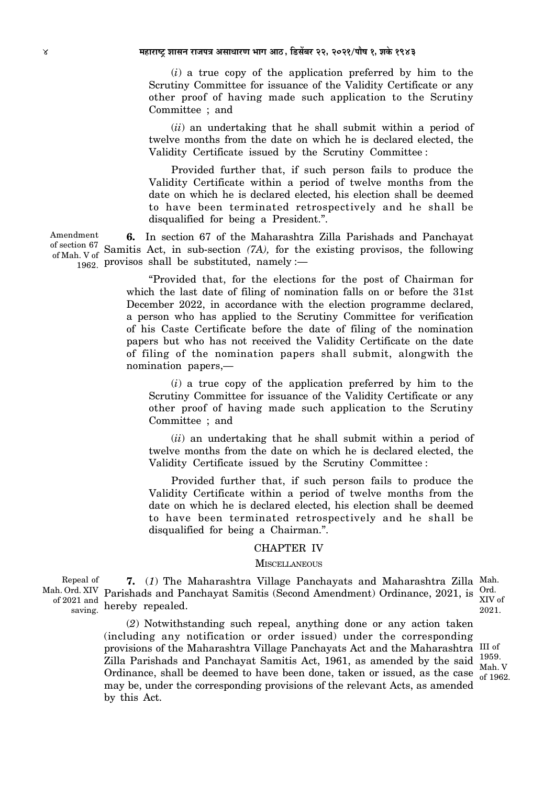### ४ महाराष्ट्र शासन राजपत्र असाधारण भाग आठ, डिसेंबर २२, २०२१/पौष १, शके १९४३

(*i*) a true copy of the application preferred by him to the Scrutiny Committee for issuance of the Validity Certificate or any other proof of having made such application to the Scrutiny Committee ; and

(*ii*) an undertaking that he shall submit within a period of twelve months from the date on which he is declared elected, the Validity Certificate issued by the Scrutiny Committee :

Provided further that, if such person fails to produce the Validity Certificate within a period of twelve months from the date on which he is declared elected, his election shall be deemed to have been terminated retrospectively and he shall be disqualified for being a President.".

**6.** In section 67 of the Maharashtra Zilla Parishads and Panchayat of section 67 Samitis Act, in sub-section  $(7A)$ , for the existing provisos, the following  $_{1962}^{\ldots}$  provisos shall be substituted, namely : of Mah. V of

> "Provided that, for the elections for the post of Chairman for which the last date of filing of nomination falls on or before the 31st December 2022, in accordance with the election programme declared, a person who has applied to the Scrutiny Committee for verification of his Caste Certificate before the date of filing of the nomination papers but who has not received the Validity Certificate on the date of filing of the nomination papers shall submit, alongwith the nomination papers,—

(*i*) a true copy of the application preferred by him to the Scrutiny Committee for issuance of the Validity Certificate or any other proof of having made such application to the Scrutiny Committee ; and

(*ii*) an undertaking that he shall submit within a period of twelve months from the date on which he is declared elected, the Validity Certificate issued by the Scrutiny Committee :

Provided further that, if such person fails to produce the Validity Certificate within a period of twelve months from the date on which he is declared elected, his election shall be deemed to have been terminated retrospectively and he shall be disqualified for being a Chairman.".

### CHAPTER IV

### **MISCELLANEOUS**

Repeal of of 2021 and saving.

**7.** (*1*) The Maharashtra Village Panchayats and Maharashtra Zilla Mah. Mah. Ord. XIV Parishads and Panchayat Samitis (Second Amendment) Ordinance, 2021, is hereby repealed. Ord. XIV of 2021.

> (*2*) Notwithstanding such repeal, anything done or any action taken (including any notification or order issued) under the corresponding provisions of the Maharashtra Village Panchayats Act and the Maharashtra III of Zilla Parishads and Panchayat Samitis Act, 1961, as amended by the said  $^{1959}$ .  $\alpha$  and the state of the state of the state of the state of the state of the state. What is ordinance, shall be deemed to have been done, taken or issued, as the case  $\alpha$  of 1969 may be, under the corresponding provisions of the relevant Acts, as amended by this Act. of 1962.

Amendment